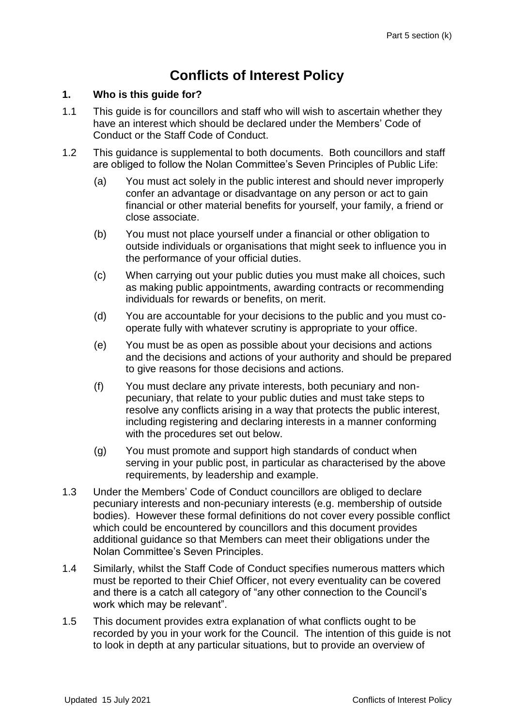# **Conflicts of Interest Policy**

### **1. Who is this guide for?**

- 1.1 This guide is for councillors and staff who will wish to ascertain whether they have an interest which should be declared under the Members' Code of Conduct or the Staff Code of Conduct.
- 1.2 This guidance is supplemental to both documents. Both councillors and staff are obliged to follow the Nolan Committee's Seven Principles of Public Life:
	- (a) You must act solely in the public interest and should never improperly confer an advantage or disadvantage on any person or act to gain financial or other material benefits for yourself, your family, a friend or close associate.
	- (b) You must not place yourself under a financial or other obligation to outside individuals or organisations that might seek to influence you in the performance of your official duties.
	- (c) When carrying out your public duties you must make all choices, such as making public appointments, awarding contracts or recommending individuals for rewards or benefits, on merit.
	- (d) You are accountable for your decisions to the public and you must cooperate fully with whatever scrutiny is appropriate to your office.
	- (e) You must be as open as possible about your decisions and actions and the decisions and actions of your authority and should be prepared to give reasons for those decisions and actions.
	- (f) You must declare any private interests, both pecuniary and nonpecuniary, that relate to your public duties and must take steps to resolve any conflicts arising in a way that protects the public interest, including registering and declaring interests in a manner conforming with the procedures set out below.
	- (g) You must promote and support high standards of conduct when serving in your public post, in particular as characterised by the above requirements, by leadership and example.
- 1.3 Under the Members' Code of Conduct councillors are obliged to declare pecuniary interests and non-pecuniary interests (e.g. membership of outside bodies). However these formal definitions do not cover every possible conflict which could be encountered by councillors and this document provides additional guidance so that Members can meet their obligations under the Nolan Committee's Seven Principles.
- 1.4 Similarly, whilst the Staff Code of Conduct specifies numerous matters which must be reported to their Chief Officer, not every eventuality can be covered and there is a catch all category of "any other connection to the Council's work which may be relevant".
- 1.5 This document provides extra explanation of what conflicts ought to be recorded by you in your work for the Council. The intention of this guide is not to look in depth at any particular situations, but to provide an overview of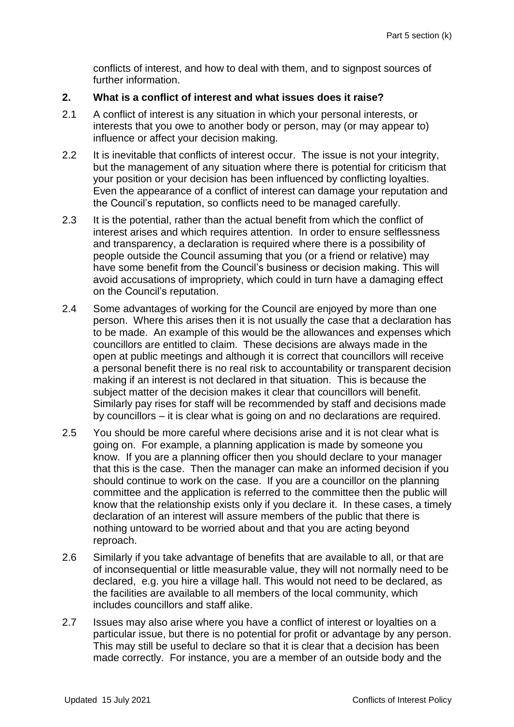conflicts of interest, and how to deal with them, and to signpost sources of further information.

## **2. What is a conflict of interest and what issues does it raise?**

- 2.1 A conflict of interest is any situation in which your personal interests, or interests that you owe to another body or person, may (or may appear to) influence or affect your decision making.
- 2.2 It is inevitable that conflicts of interest occur. The issue is not your integrity, but the management of any situation where there is potential for criticism that your position or your decision has been influenced by conflicting loyalties. Even the appearance of a conflict of interest can damage your reputation and the Council's reputation, so conflicts need to be managed carefully.
- 2.3 It is the potential, rather than the actual benefit from which the conflict of interest arises and which requires attention. In order to ensure selflessness and transparency, a declaration is required where there is a possibility of people outside the Council assuming that you (or a friend or relative) may have some benefit from the Council's business or decision making. This will avoid accusations of impropriety, which could in turn have a damaging effect on the Council's reputation.
- 2.4 Some advantages of working for the Council are enjoyed by more than one person. Where this arises then it is not usually the case that a declaration has to be made. An example of this would be the allowances and expenses which councillors are entitled to claim. These decisions are always made in the open at public meetings and although it is correct that councillors will receive a personal benefit there is no real risk to accountability or transparent decision making if an interest is not declared in that situation. This is because the subject matter of the decision makes it clear that councillors will benefit. Similarly pay rises for staff will be recommended by staff and decisions made by councillors – it is clear what is going on and no declarations are required.
- 2.5 You should be more careful where decisions arise and it is not clear what is going on. For example, a planning application is made by someone you know. If you are a planning officer then you should declare to your manager that this is the case. Then the manager can make an informed decision if you should continue to work on the case. If you are a councillor on the planning committee and the application is referred to the committee then the public will know that the relationship exists only if you declare it. In these cases, a timely declaration of an interest will assure members of the public that there is nothing untoward to be worried about and that you are acting beyond reproach.
- 2.6 Similarly if you take advantage of benefits that are available to all, or that are of inconsequential or little measurable value, they will not normally need to be declared, e.g. you hire a village hall. This would not need to be declared, as the facilities are available to all members of the local community, which includes councillors and staff alike.
- 2.7 Issues may also arise where you have a conflict of interest or loyalties on a particular issue, but there is no potential for profit or advantage by any person. This may still be useful to declare so that it is clear that a decision has been made correctly. For instance, you are a member of an outside body and the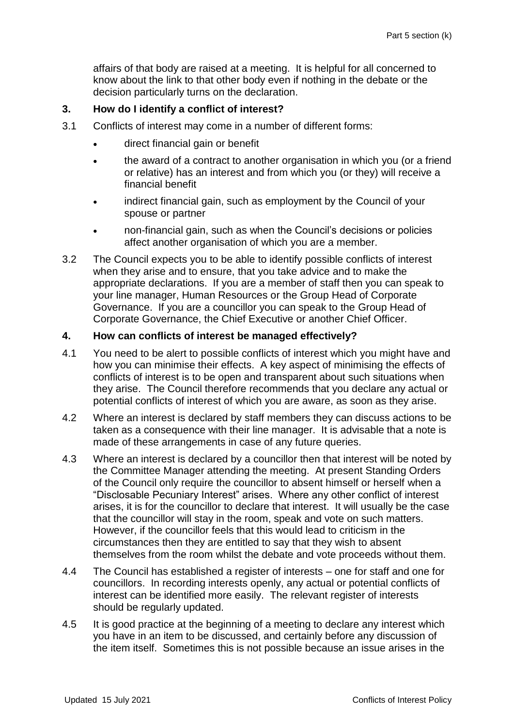affairs of that body are raised at a meeting. It is helpful for all concerned to know about the link to that other body even if nothing in the debate or the decision particularly turns on the declaration.

# **3. How do I identify a conflict of interest?**

- 3.1 Conflicts of interest may come in a number of different forms:
	- direct financial gain or benefit
	- the award of a contract to another organisation in which you (or a friend or relative) has an interest and from which you (or they) will receive a financial benefit
	- indirect financial gain, such as employment by the Council of your spouse or partner
	- non-financial gain, such as when the Council's decisions or policies affect another organisation of which you are a member.
- 3.2 The Council expects you to be able to identify possible conflicts of interest when they arise and to ensure, that you take advice and to make the appropriate declarations. If you are a member of staff then you can speak to your line manager, Human Resources or the Group Head of Corporate Governance. If you are a councillor you can speak to the Group Head of Corporate Governance, the Chief Executive or another Chief Officer.

## **4. How can conflicts of interest be managed effectively?**

- 4.1 You need to be alert to possible conflicts of interest which you might have and how you can minimise their effects. A key aspect of minimising the effects of conflicts of interest is to be open and transparent about such situations when they arise. The Council therefore recommends that you declare any actual or potential conflicts of interest of which you are aware, as soon as they arise.
- 4.2 Where an interest is declared by staff members they can discuss actions to be taken as a consequence with their line manager. It is advisable that a note is made of these arrangements in case of any future queries.
- 4.3 Where an interest is declared by a councillor then that interest will be noted by the Committee Manager attending the meeting. At present Standing Orders of the Council only require the councillor to absent himself or herself when a "Disclosable Pecuniary Interest" arises. Where any other conflict of interest arises, it is for the councillor to declare that interest. It will usually be the case that the councillor will stay in the room, speak and vote on such matters. However, if the councillor feels that this would lead to criticism in the circumstances then they are entitled to say that they wish to absent themselves from the room whilst the debate and vote proceeds without them.
- 4.4 The Council has established a register of interests one for staff and one for councillors. In recording interests openly, any actual or potential conflicts of interest can be identified more easily. The relevant register of interests should be regularly updated.
- 4.5 It is good practice at the beginning of a meeting to declare any interest which you have in an item to be discussed, and certainly before any discussion of the item itself. Sometimes this is not possible because an issue arises in the